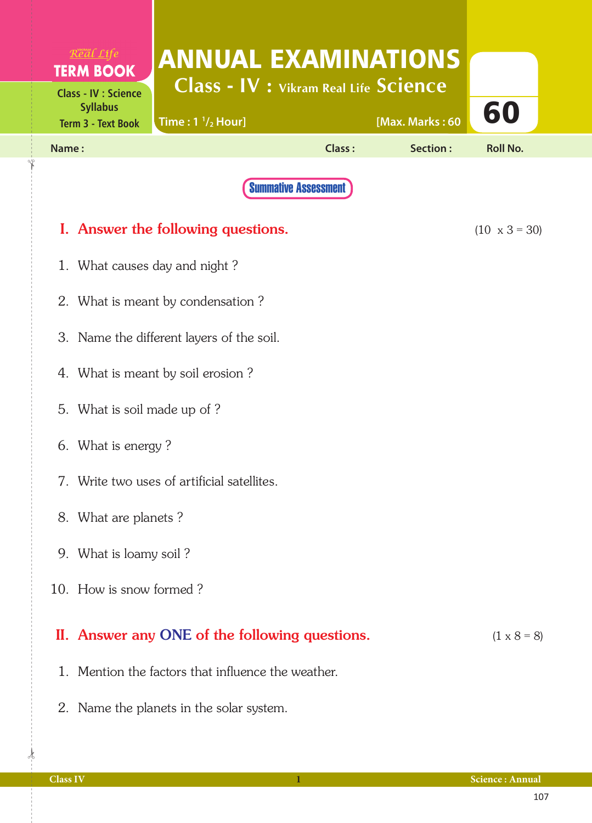| Real Life                                      |                                                                            |                             |                             |                      |  |  |  |  |  |
|------------------------------------------------|----------------------------------------------------------------------------|-----------------------------|-----------------------------|----------------------|--|--|--|--|--|
| <b>TERM BOOK</b>                               | <b>ANNUAL EXAMINATIONS</b><br><b>Class - IV : Vikram Real Life Science</b> |                             |                             |                      |  |  |  |  |  |
| <b>Class - IV : Science</b><br><b>Syllabus</b> |                                                                            |                             |                             | 60                   |  |  |  |  |  |
| <b>Term 3 - Text Book</b><br>Name:             | Time: $1 \frac{1}{2}$ Hour]                                                | Class:                      | [Max. Marks: 60<br>Section: | <b>Roll No.</b>      |  |  |  |  |  |
|                                                |                                                                            |                             |                             |                      |  |  |  |  |  |
|                                                |                                                                            | <b>Summative Assessment</b> |                             |                      |  |  |  |  |  |
|                                                | I. Answer the following questions.                                         |                             |                             | $(10 \times 3 = 30)$ |  |  |  |  |  |
| 1.                                             | What causes day and night?                                                 |                             |                             |                      |  |  |  |  |  |
|                                                | 2. What is meant by condensation?                                          |                             |                             |                      |  |  |  |  |  |
|                                                | 3. Name the different layers of the soil.                                  |                             |                             |                      |  |  |  |  |  |
|                                                | 4. What is meant by soil erosion?                                          |                             |                             |                      |  |  |  |  |  |
|                                                | 5. What is soil made up of ?                                               |                             |                             |                      |  |  |  |  |  |
|                                                | 6. What is energy?                                                         |                             |                             |                      |  |  |  |  |  |
|                                                | 7. Write two uses of artificial satellites.                                |                             |                             |                      |  |  |  |  |  |
|                                                |                                                                            |                             |                             |                      |  |  |  |  |  |
|                                                | 8. What are planets?                                                       |                             |                             |                      |  |  |  |  |  |
|                                                | 9. What is loamy soil?                                                     |                             |                             |                      |  |  |  |  |  |
|                                                | 10. How is snow formed?                                                    |                             |                             |                      |  |  |  |  |  |
|                                                | II. Answer any ONE of the following questions.                             |                             |                             | $(1 \times 8 = 8)$   |  |  |  |  |  |
|                                                | 1. Mention the factors that influence the weather.                         |                             |                             |                      |  |  |  |  |  |

2. Name the planets in the solar system.

 $\frac{1}{2}$ 

✁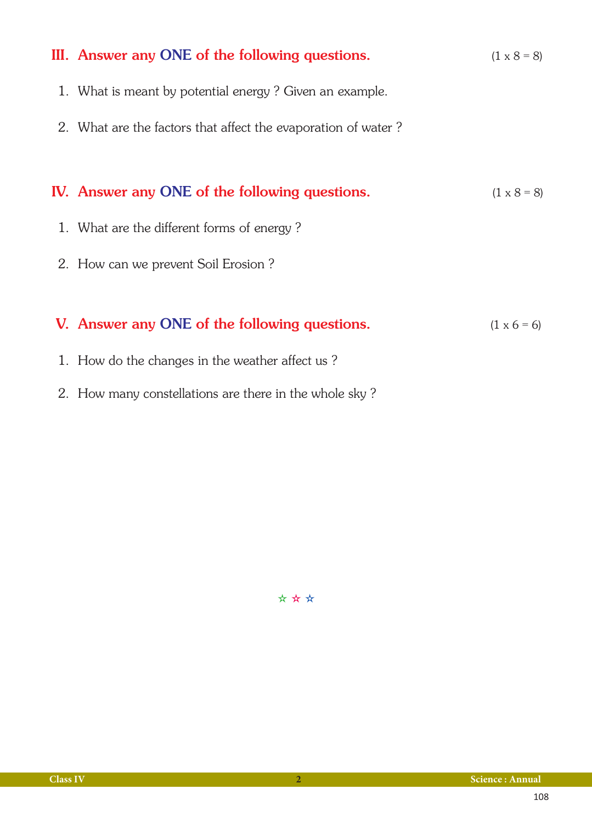| III. Answer any ONE of the following questions.               | $(1 \times 8 = 8)$ |
|---------------------------------------------------------------|--------------------|
| 1. What is meant by potential energy? Given an example.       |                    |
| 2. What are the factors that affect the evaporation of water? |                    |
|                                                               |                    |
| IV. Answer any ONE of the following questions.                | $(1 \times 8 = 8)$ |
| 1. What are the different forms of energy?                    |                    |
| 2. How can we prevent Soil Erosion?                           |                    |
|                                                               |                    |
| V. Answer any ONE of the following questions.                 | $(1 \times 6 = 6)$ |
| 1. How do the changes in the weather affect us?               |                    |
| 2. How many constellations are there in the whole sky?        |                    |

✫ ✫ ✫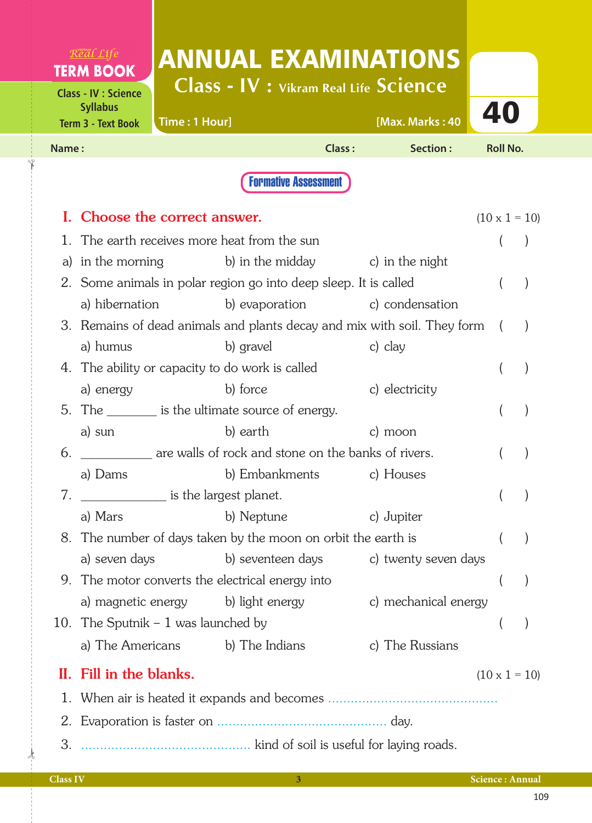| $R$ <sup>VKRAM</sup> $C$ <sub>1</sub> fe<br><b>TERM BOOK</b>                |                         |                                      |                                                                                 |        | <b>ANNUAL EXAMINATIONS</b>                                                 |                      |  |
|-----------------------------------------------------------------------------|-------------------------|--------------------------------------|---------------------------------------------------------------------------------|--------|----------------------------------------------------------------------------|----------------------|--|
| <b>Class - IV : Science</b><br><b>Syllabus</b><br><b>Term 3 - Text Book</b> |                         | Time: 1 Hour]                        | Class - IV : Vikram Real Life Science                                           |        | [Max. Marks: 40                                                            | 40                   |  |
| Name:                                                                       |                         |                                      |                                                                                 | Class: | Section:                                                                   | <b>Roll No.</b>      |  |
|                                                                             |                         |                                      | <b>Formative Assessment</b>                                                     |        |                                                                            |                      |  |
|                                                                             |                         |                                      |                                                                                 |        |                                                                            |                      |  |
|                                                                             |                         | Choose the correct answer.           |                                                                                 |        |                                                                            | $(10 \times 1 = 10)$ |  |
|                                                                             |                         |                                      | The earth receives more heat from the sun                                       |        |                                                                            |                      |  |
| a)                                                                          |                         |                                      | in the morning $\qquad \qquad$ b) in the midday $\qquad \qquad$ c) in the night |        |                                                                            |                      |  |
|                                                                             |                         |                                      | 2. Some animals in polar region go into deep sleep. It is called                |        |                                                                            |                      |  |
|                                                                             |                         | a) hibernation                       |                                                                                 |        | b) evaporation c) condensation                                             |                      |  |
|                                                                             |                         |                                      |                                                                                 |        | 3. Remains of dead animals and plants decay and mix with soil. They form ( |                      |  |
|                                                                             | a) humus                |                                      | b) gravel                                                                       |        | c) clay                                                                    |                      |  |
|                                                                             |                         |                                      | 4. The ability or capacity to do work is called                                 |        |                                                                            |                      |  |
|                                                                             | a) energy               |                                      | b) force                                                                        |        | c) electricity                                                             |                      |  |
|                                                                             |                         |                                      | 5. The _________ is the ultimate source of energy.                              |        |                                                                            |                      |  |
| a) sun                                                                      |                         |                                      | b) earth                                                                        |        | c) moon                                                                    |                      |  |
| 6.                                                                          |                         |                                      | are walls of rock and stone on the banks of rivers.                             |        |                                                                            |                      |  |
|                                                                             | a) Dams                 |                                      | b) Embankments                                                                  |        | c) Houses                                                                  |                      |  |
| 7.                                                                          |                         |                                      | is the largest planet.                                                          |        |                                                                            |                      |  |
|                                                                             | a) Mars                 |                                      | b) Neptune                                                                      |        | c) Jupiter                                                                 |                      |  |
|                                                                             |                         |                                      | 8. The number of days taken by the moon on orbit the earth is                   |        |                                                                            |                      |  |
|                                                                             | a) seven days           |                                      | b) seventeen days                                                               |        | c) twenty seven days                                                       |                      |  |
|                                                                             |                         |                                      | 9. The motor converts the electrical energy into                                |        |                                                                            |                      |  |
|                                                                             |                         | a) magnetic energy                   | b) light energy                                                                 |        | c) mechanical energy                                                       |                      |  |
|                                                                             |                         | 10. The Sputnik $-1$ was launched by |                                                                                 |        |                                                                            |                      |  |
|                                                                             |                         |                                      | a) The Americans b) The Indians                                                 |        | c) The Russians                                                            |                      |  |
|                                                                             | II. Fill in the blanks. |                                      |                                                                                 |        |                                                                            | $(10 \times 1 = 10)$ |  |
|                                                                             |                         |                                      |                                                                                 |        |                                                                            |                      |  |
|                                                                             |                         |                                      |                                                                                 |        |                                                                            |                      |  |
| 3.                                                                          |                         |                                      |                                                                                 |        |                                                                            |                      |  |

✁

✁